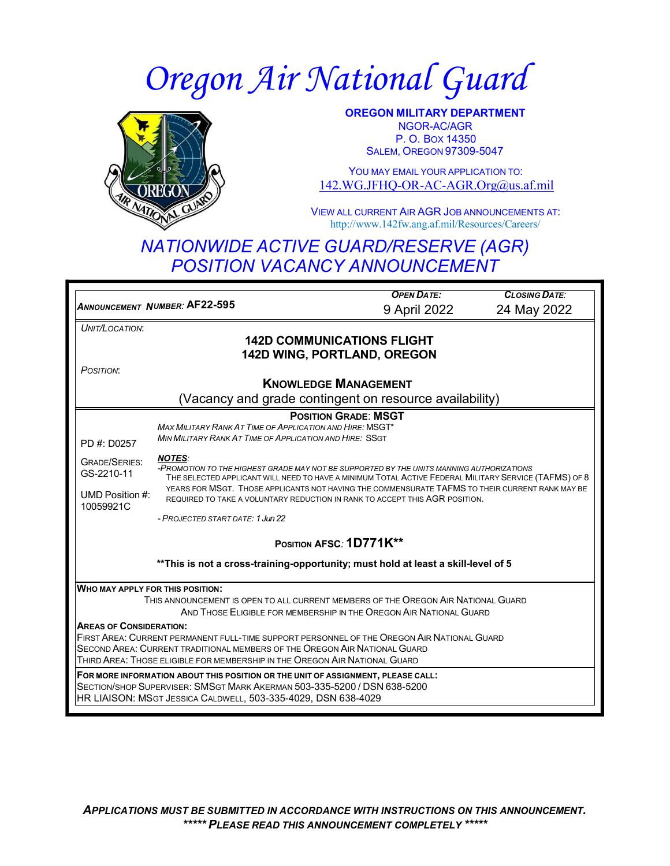# *Oregon Air National Guard*



**OREGON MILITARY DEPARTMENT** NGOR-AC/AGR P. O. BOX 14350 SALEM, OREGON 97309-5047

YOU MAY FMAIL YOUR APPLICATION TO: [142.WG.JFHQ-OR-AC-AGR.Org@us.af.mil](mailto:142.WG.JFHQ-OR-AC-AGR.Org@us.af.mil)

VIEW ALL CURRENT AIR AGR JOB ANNOUNCEMENTS AT: <http://www.142fw.ang.af.mil/Resources/Careers/>

# *NATIONWIDE ACTIVE GUARD/RESERVE (AGR) POSITION VACANCY ANNOUNCEMENT*

**ANNOUNCEMENT NUMBER: AF22-595** *OPEN DATE: CLOSING DATE: UMBER:* **AF22-595** 9 April 2022 24 May 2022 *UNIT/LOCATION*: *POSITION*: **142D COMMUNICATIONS FLIGHT 142D WING, PORTLAND, OREGON KNOWLEDGE MANAGEMENT** (Vacancy and grade contingent on resource availability) **POSITION GRADE**: **MSGT** *MAX MILITARY RANK AT TIME OF APPLICATION AND HIRE:* MSGT\* PD #: D0257 *MIN MILITARY RANK AT TIME OF APPLICATION AND HIRE:* SSGT GRADE/SERIES: GS-2210-11 *NOTES: -PROMOTION TO THE HIGHEST GRADE MAY NOT BE SUPPORTED BY THE UNITS MANNING AUTHORIZATIONS* THE SELECTED APPLICANT WILL NEED TO HAVE A MINIMUM TOTAL ACTIVE FEDERAL MILITARY SERVICE (TAFMS) OF 8 UMD Position #: 10059921C YEARS FOR MSGT. THOSE APPLICANTS NOT HAVING THE COMMENSURATE TAFMS TO THEIR CURRENT RANK MAY BE REQUIRED TO TAKE A VOLUNTARY REDUCTION IN RANK TO ACCEPT THIS AGR POSITION. *- PROJECTED START DATE: 1 Jun 22* **POSITION AFSC***:* **1D771K\*\* \*\*This is not a cross-training-opportunity; must hold at least a skill-level of 5 WHO MAY APPLY FOR THIS POSITION:** THIS ANNOUNCEMENT IS OPEN TO ALL CURRENT MEMBERS OF THE OREGON AIR NATIONAL GUARD AND THOSE ELIGIBLE FOR MEMBERSHIP IN THE OREGON AIR NATIONAL GUARD **AREAS OF CONSIDERATION:** FIRST AREA: CURRENT PERMANENT FULL-TIME SUPPORT PERSONNEL OF THE OREGON AIR NATIONAL GUARD SECOND AREA: CURRENT TRADITIONAL MEMBERS OF THE OREGON AIR NATIONAL GUARD THIRD AREA: THOSE ELIGIBLE FOR MEMBERSHIP IN THE OREGON AIR NATIONAL GUARD **FOR MORE INFORMATION ABOUT THIS POSITION OR THE UNIT OF ASSIGNMENT, PLEASE CALL:** SECTION/SHOP SUPERVISER: SMSGT MARK AKERMAN 503-335-5200 / DSN 638-5200 HR LIAISON: MSGT JESSICA CALDWELL, 503-335-4029, DSN 638-4029

*APPLICATIONS MUST BE SUBMITTED IN ACCORDANCE WITH INSTRUCTIONS ON THIS ANNOUNCEMENT. \*\*\*\*\* PLEASE READ THIS ANNOUNCEMENT COMPLETELY \*\*\*\*\**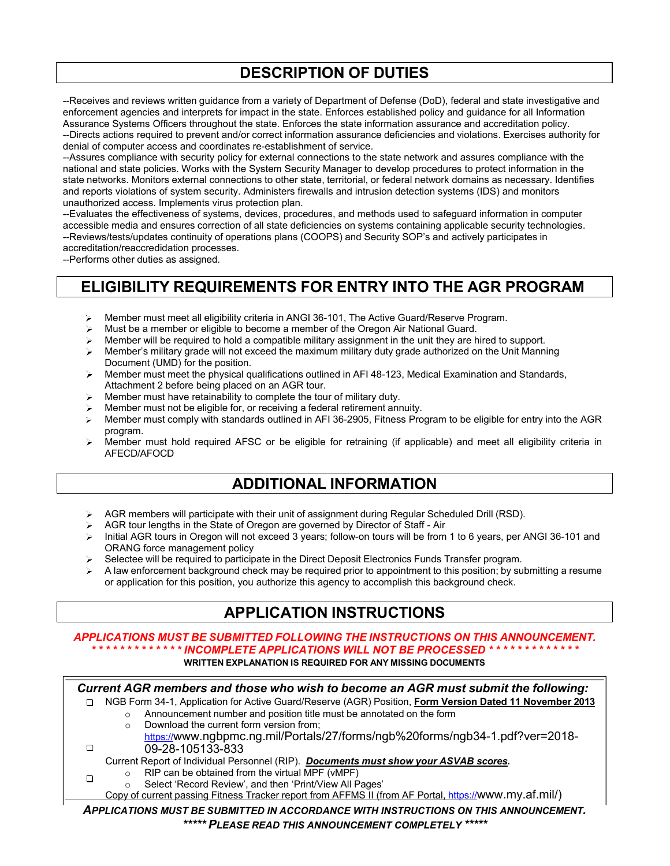# **DESCRIPTION OF DUTIES**

--Receives and reviews written guidance from a variety of Department of Defense (DoD), federal and state investigative and enforcement agencies and interprets for impact in the state. Enforces established policy and guidance for all Information Assurance Systems Officers throughout the state. Enforces the state information assurance and accreditation policy. --Directs actions required to prevent and/or correct information assurance deficiencies and violations. Exercises authority for denial of computer access and coordinates re-establishment of service.

--Assures compliance with security policy for external connections to the state network and assures compliance with the national and state policies. Works with the System Security Manager to develop procedures to protect information in the state networks. Monitors external connections to other state, territorial, or federal network domains as necessary. Identifies and reports violations of system security. Administers firewalls and intrusion detection systems (IDS) and monitors unauthorized access. Implements virus protection plan.

--Evaluates the effectiveness of systems, devices, procedures, and methods used to safeguard information in computer accessible media and ensures correction of all state deficiencies on systems containing applicable security technologies. --Reviews/tests/updates continuity of operations plans (COOPS) and Security SOP's and actively participates in accreditation/reaccredidation processes.

--Performs other duties as assigned.

### **ELIGIBILITY REQUIREMENTS FOR ENTRY INTO THE AGR PROGRAM**

- Member must meet all eligibility criteria in ANGI 36-101, The Active Guard/Reserve Program. ≻∣
- Must be a member or eligible to become a member of the Oregon Air National Guard.
- Member will be required to hold a compatible military assignment in the unit they are hired to support.
- Member's military grade will not exceed the maximum military duty grade authorized on the Unit Manning Document (UMD) for the position.
- Member must meet the physical qualifications outlined in AFI 48-123, Medical Examination and Standards, Attachment 2 before being placed on an AGR tour.
- Member must have retainability to complete the tour of military duty.
- Member must not be eligible for, or receiving a federal retirement annuity.
- Member must comply with standards outlined in AFI 36-2905, Fitness Program to be eligible for entry into the AGR program.
- $\triangleright$  Member must hold required AFSC or be eligible for retraining (if applicable) and meet all eligibility criteria in AFECD/AFOCD

#### **ADDITIONAL INFORMATION**

- AGR members will participate with their unit of assignment during Regular Scheduled Drill (RSD). ≻ ∶
- AGR tour lengths in the State of Oregon are governed by Director of Staff Air
- Initial AGR tours in Oregon will not exceed 3 years; follow-on tours will be from 1 to 6 years, per ANGI 36-101 and ORANG force management policy
- Selectee will be required to participate in the Direct Deposit Electronics Funds Transfer program.
- A law enforcement background check may be required prior to appointment to this position; by submitting a resume or application for this position, you authorize this agency to accomplish this background check.

# **APPLICATION INSTRUCTIONS**

#### *APPLICATIONS MUST BE SUBMITTED FOLLOWING THE INSTRUCTIONS ON THIS ANNOUNCEMENT. \* \* \* \* \* \* \* \* \* \* \* \* \* INCOMPLETE APPLICATIONS WILL NOT BE PROCESSED \* \* \* \* \* \* \* \* \* \* \* \* \** **WRITTEN EXPLANATION IS REQUIRED FOR ANY MISSING DOCUMENTS**